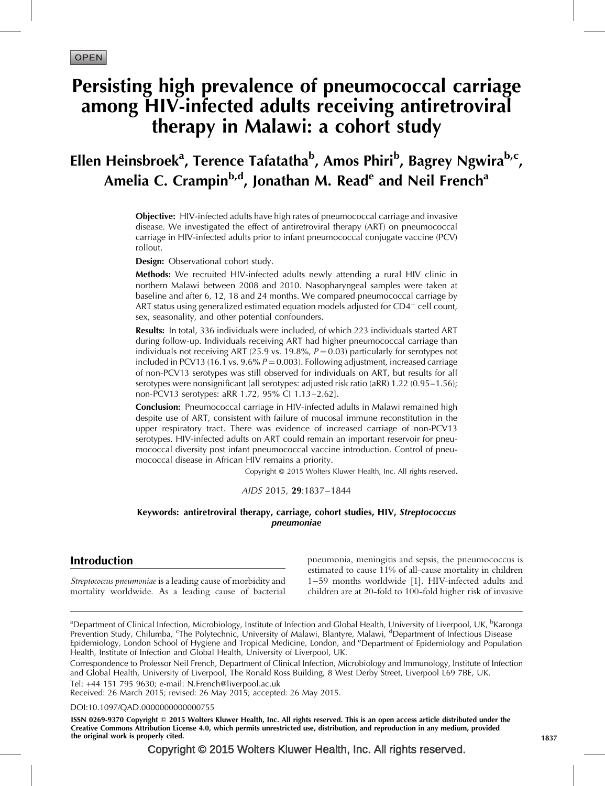# Persisting high prevalence of pneumococcal carriage among HIV-infected adults receiving antiretroviral therapy in Malawi: a cohort study

# Ellen Heinsbroek<sup>a</sup>, Terence Tafatatha<sup>b</sup>, Amos Phiri<sup>b</sup>, Bagrey Ngwira<sup>b,c</sup>, Amelia C. Crampin<sup>b,d</sup>, Jonathan M. Read<sup>e</sup> and Neil French<sup>a</sup>

**Objective:** HIV-infected adults have high rates of pneumococcal carriage and invasive disease. We investigated the effect of antiretroviral therapy (ART) on pneumococcal carriage in HIV-infected adults prior to infant pneumococcal conjugate vaccine (PCV) rollout.

Design: Observational cohort study.

Methods: We recruited HIV-infected adults newly attending a rural HIV clinic in northern Malawi between 2008 and 2010. Nasopharyngeal samples were taken at baseline and after 6, 12, 18 and 24 months. We compared pneumococcal carriage by ART status using generalized estimated equation models adjusted for  $CD4^+$  cell count, sex, seasonality, and other potential confounders.

Results: In total, 336 individuals were included, of which 223 individuals started ART during follow-up. Individuals receiving ART had higher pneumococcal carriage than individuals not receiving ART (25.9 vs. 19.8%,  $P = 0.03$ ) particularly for serotypes not included in PCV13 (16.1 vs.  $9.6\% P = 0.003$ ). Following adjustment, increased carriage of non-PCV13 serotypes was still observed for individuals on ART, but results for all serotypes were nonsignificant [all serotypes: adjusted risk ratio (aRR) 1.22 (0.95–1.56); non-PCV13 serotypes: aRR 1.72, 95% CI 1.13–2.62].

**Conclusion:** Pneumococcal carriage in HIV-infected adults in Malawi remained high despite use of ART, consistent with failure of mucosal immune reconstitution in the upper respiratory tract. There was evidence of increased carriage of non-PCV13 serotypes. HIV-infected adults on ART could remain an important reservoir for pneumococcal diversity post infant pneumococcal vaccine introduction. Control of pneumococcal disease in African HIV remains a priority.

Copyright © 2015 Wolters Kluwer Health, Inc. All rights reserved.

AIDS 2015, 29*:*1837–1844

### Keywords: antiretroviral therapy, carriage, cohort studies, HIV, Streptococcus pneumoniae

# Introduction

Streptococcus pneumoniae is a leading cause of morbidity and mortality worldwide. As a leading cause of bacterial

pneumonia, meningitis and sepsis, the pneumococcus is estimated to cause 11% of all-cause mortality in children 1–59 months worldwide [\[1\].](#page-6-0) HIV-infected adults and children are at 20-fold to 100-fold higher risk of invasive

<sup>a</sup>Department of Clinical Infection, Microbiology, Institute of Infection and Global Health, University of Liverpool, UK, <sup>b</sup>Karonga Prevention Study, Chilumba, <sup>c</sup>The Polytechnic, University of Malawi, Blantyre, Malawi, <sup>d</sup>Department of Infectious Disease Epidemiology, London School of Hygiene and Tropical Medicine, London, and <sup>e</sup>Department of Epidemiology and Population Health, Institute of Infection and Global Health, University of Liverpool, UK.

Correspondence to Professor Neil French, Department of Clinical Infection, Microbiology and Immunology, Institute of Infection and Global Health, University of Liverpool, The Ronald Ross Building, 8 West Derby Street, Liverpool L69 7BE, UK. Tel: +44 151 795 9630; e-mail: [N.French@liverpool.ac.uk](mailto:N.French@liverpool.ac.uk)

Received: 26 March 2015; revised: 26 May 2015; accepted: 26 May 2015.

#### DOI[:10.1097/QAD.0000000000000755](http://dx.doi.org/10.1097/QAD.0000000000000755)

ISSN 0269-9370 Copyright © 2015 Wolters Kluwer Health, Inc. All rights reserved. This is an open access article distributed under the Creative Commons Attribution License 4.0, which permits unrestricted use, distribution, and reproduction in any medium, provided the original work is properly cited. 1837

Copyright © 2015 Wolters Kluwer Health, Inc. All rights reserved.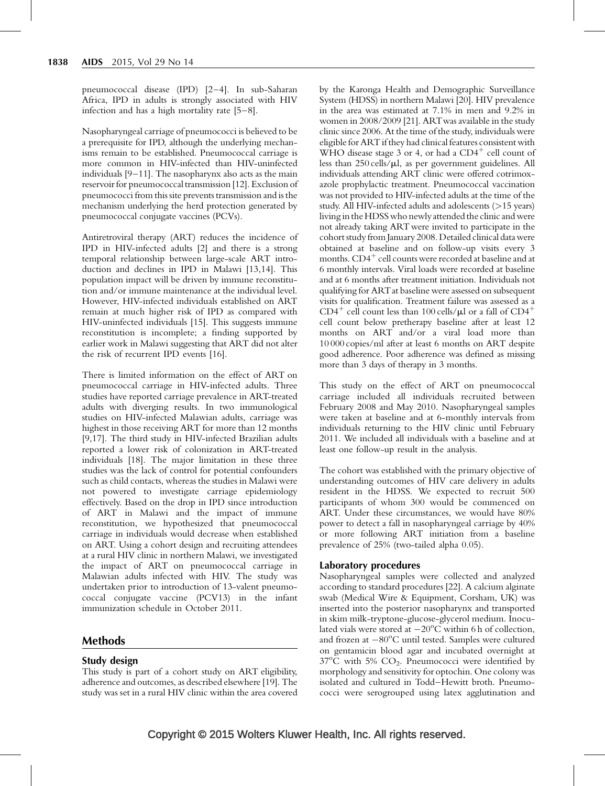pneumococcal disease (IPD) [\[2–4\].](#page-6-0) In sub-Saharan Africa, IPD in adults is strongly associated with HIV infection and has a high mortality rate [\[5–8\].](#page-7-0)

Nasopharyngeal carriage of pneumococci is believed to be a prerequisite for IPD, although the underlying mechanisms remain to be established. Pneumococcal carriage is more common in HIV-infected than HIV-uninfected individuals [\[9–11\]](#page-7-0). The nasopharynx also acts as the main reservoir for pneumococcal transmission [\[12\].](#page-7-0) Exclusion of pneumococci from this site prevents transmission and is the mechanism underlying the herd protection generated by pneumococcal conjugate vaccines (PCVs).

Antiretroviral therapy (ART) reduces the incidence of IPD in HIV-infected adults [\[2\]](#page-6-0) and there is a strong temporal relationship between large-scale ART introduction and declines in IPD in Malawi [\[13,14\].](#page-7-0) This population impact will be driven by immune reconstitution and/or immune maintenance at the individual level. However, HIV-infected individuals established on ART remain at much higher risk of IPD as compared with HIV-uninfected individuals [\[15\].](#page-7-0) This suggests immune reconstitution is incomplete; a finding supported by earlier work in Malawi suggesting that ART did not alter the risk of recurrent IPD events [\[16\]](#page-7-0).

There is limited information on the effect of ART on pneumococcal carriage in HIV-infected adults. Three studies have reported carriage prevalence in ART-treated adults with diverging results. In two immunological studies on HIV-infected Malawian adults, carriage was highest in those receiving ART for more than 12 months [\[9,17\]](#page-7-0). The third study in HIV-infected Brazilian adults reported a lower risk of colonization in ART-treated individuals [\[18\]](#page-7-0). The major limitation in these three studies was the lack of control for potential confounders such as child contacts, whereas the studies in Malawi were not powered to investigate carriage epidemiology effectively. Based on the drop in IPD since introduction of ART in Malawi and the impact of immune reconstitution, we hypothesized that pneumococcal carriage in individuals would decrease when established on ART. Using a cohort design and recruiting attendees at a rural HIV clinic in northern Malawi, we investigated the impact of ART on pneumococcal carriage in Malawian adults infected with HIV. The study was undertaken prior to introduction of 13-valent pneumococcal conjugate vaccine (PCV13) in the infant immunization schedule in October 2011.

# Methods

## Study design

This study is part of a cohort study on ART eligibility, adherence and outcomes, as described elsewhere [\[19\]](#page-7-0). The study was set in a rural HIV clinic within the area covered by the Karonga Health and Demographic Surveillance System (HDSS) in northern Malawi [\[20\].](#page-7-0) HIV prevalence in the area was estimated at 7.1% in men and 9.2% in women in 2008/2009 [\[21\].](#page-7-0) ARTwas available in the study clinic since 2006. At the time of the study, individuals were eligible for ART if they had clinical features consistent with WHO disease stage 3 or 4, or had a  $CD4^+$  cell count of less than  $250$  cells/ $\mu$ l, as per government guidelines. All individuals attending ART clinic were offered cotrimoxazole prophylactic treatment. Pneumococcal vaccination was not provided to HIV-infected adults at the time of the study. All HIV-infected adults and adolescents (>15 years) living in the HDSS who newly attended the clinic and were not already taking ARTwere invited to participate in the cohort study from January 2008. Detailed clinical datawere obtained at baseline and on follow-up visits every 3 months.  $CD4^+$  cell counts were recorded at baseline and at 6 monthly intervals. Viral loads were recorded at baseline and at 6 months after treatment initiation. Individuals not qualifying for ARTat baseline were assessed on subsequent visits for qualification. Treatment failure was assessed as a  $CD4^+$  cell count less than 100 cells/ $\mu$ l or a fall of  $CD4^+$ cell count below pretherapy baseline after at least 12 months on ART and/or a viral load more than 10 000 copies/ml after at least 6 months on ART despite good adherence. Poor adherence was defined as missing more than 3 days of therapy in 3 months.

This study on the effect of ART on pneumococcal carriage included all individuals recruited between February 2008 and May 2010. Nasopharyngeal samples were taken at baseline and at 6-monthly intervals from individuals returning to the HIV clinic until February 2011. We included all individuals with a baseline and at least one follow-up result in the analysis.

The cohort was established with the primary objective of understanding outcomes of HIV care delivery in adults resident in the HDSS. We expected to recruit 500 participants of whom 300 would be commenced on ART. Under these circumstances, we would have 80% power to detect a fall in nasopharyngeal carriage by 40% or more following ART initiation from a baseline prevalence of 25% (two-tailed alpha 0.05).

## Laboratory procedures

Nasopharyngeal samples were collected and analyzed according to standard procedures [\[22\].](#page-7-0) A calcium alginate swab (Medical Wire & Equipment, Corsham, UK) was inserted into the posterior nasopharynx and transported in skim milk-tryptone-glucose-glycerol medium. Inoculated vials were stored at  $-20^{\circ}$ C within 6 h of collection, and frozen at -80°C until tested. Samples were cultured on gentamicin blood agar and incubated overnight at  $37^{\circ}$ C with 5% CO<sub>2</sub>. Pneumococci were identified by morphology and sensitivity for optochin. One colony was isolated and cultured in Todd–Hewitt broth. Pneumococci were serogrouped using latex agglutination and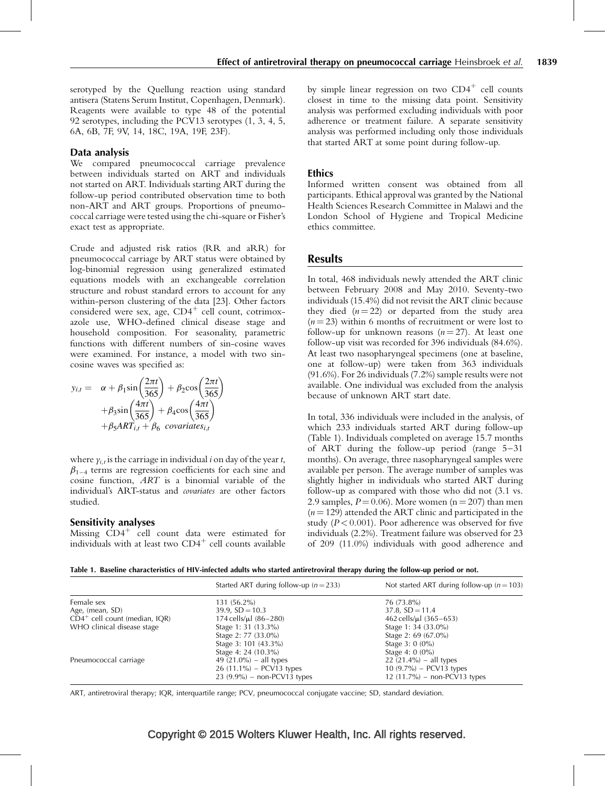serotyped by the Quellung reaction using standard antisera (Statens Serum Institut, Copenhagen, Denmark). Reagents were available to type 48 of the potential 92 serotypes, including the PCV13 serotypes (1, 3, 4, 5, 6A, 6B, 7F, 9V, 14, 18C, 19A, 19F, 23F).

### Data analysis

We compared pneumococcal carriage prevalence between individuals started on ART and individuals not started on ART. Individuals starting ART during the follow-up period contributed observation time to both non-ART and ART groups. Proportions of pneumococcal carriage were tested using the chi-square or Fisher's exact test as appropriate.

Crude and adjusted risk ratios (RR and aRR) for pneumococcal carriage by ART status were obtained by log-binomial regression using generalized estimated equations models with an exchangeable correlation structure and robust standard errors to account for any within-person clustering of the data [\[23\].](#page-7-0) Other factors considered were sex, age,  $CD4^+$  cell count, cotrimoxazole use, WHO-defined clinical disease stage and household composition. For seasonality, parametric functions with different numbers of sin-cosine waves were examined. For instance, a model with two sincosine waves was specified as:

$$
y_{i,t} = \alpha + \beta_1 \sin\left(\frac{2\pi t}{365}\right) + \beta_2 \cos\left(\frac{2\pi t}{365}\right)
$$

$$
+ \beta_3 \sin\left(\frac{4\pi t}{365}\right) + \beta_4 \cos\left(\frac{4\pi t}{365}\right)
$$

$$
+ \beta_5 ART_{i,t} + \beta_6 \text{ covariates}_{i,t}
$$

where  $y_{i,t}$  is the carriage in individual *i* on day of the year *t*,  $\beta_{1-4}$  terms are regression coefficients for each sine and cosine function, ART is a binomial variable of the individual's ART-status and covariates are other factors studied.

#### Sensitivity analyses

Missing  $CD4^+$  cell count data were estimated for individuals with at least two  $CD4^+$  cell counts available by simple linear regression on two  $CD4^+$  cell counts closest in time to the missing data point. Sensitivity analysis was performed excluding individuals with poor adherence or treatment failure. A separate sensitivity analysis was performed including only those individuals that started ART at some point during follow-up.

## Ethics

Informed written consent was obtained from all participants. Ethical approval was granted by the National Health Sciences Research Committee in Malawi and the London School of Hygiene and Tropical Medicine ethics committee.

## **Results**

In total, 468 individuals newly attended the ART clinic between February 2008 and May 2010. Seventy-two individuals (15.4%) did not revisit the ART clinic because they died  $(n = 22)$  or departed from the study area  $(n = 23)$  within 6 months of recruitment or were lost to follow-up for unknown reasons  $(n = 27)$ . At least one follow-up visit was recorded for 396 individuals (84.6%). At least two nasopharyngeal specimens (one at baseline, one at follow-up) were taken from 363 individuals (91.6%). For 26 individuals (7.2%) sample results were not available. One individual was excluded from the analysis because of unknown ART start date.

In total, 336 individuals were included in the analysis, of which 233 individuals started ART during follow-up (Table 1). Individuals completed on average 15.7 months of ART during the follow-up period (range 5–31 months). On average, three nasopharyngeal samples were available per person. The average number of samples was slightly higher in individuals who started ART during follow-up as compared with those who did not (3.1 vs. 2.9 samples,  $P = 0.06$ ). More women (n = 207) than men  $(n = 129)$  attended the ART clinic and participated in the study ( $P < 0.001$ ). Poor adherence was observed for five individuals (2.2%). Treatment failure was observed for 23 of 209 (11.0%) individuals with good adherence and

Table 1. Baseline characteristics of HIV-infected adults who started antiretroviral therapy during the follow-up period or not.

|                                  | Started ART during follow-up ( $n = 233$ ) | Not started ART during follow-up ( $n = 103$ ) |  |  |  |
|----------------------------------|--------------------------------------------|------------------------------------------------|--|--|--|
| Female sex                       | 131 (56.2%)                                | 76 (73.8%)                                     |  |  |  |
| Age, (mean, SD)                  | $39.9, SD = 10.3$                          | $37.8, SD = 11.4$                              |  |  |  |
| $CD4^+$ cell count (median, IQR) | 174 cells/ $\mu$ l (86–280)                | 462 cells/ $\mu$ l (365–653)                   |  |  |  |
| WHO clinical disease stage       | Stage 1: 31 (13.3%)                        | Stage 1: 34 (33.0%)                            |  |  |  |
|                                  | Stage 2: 77 (33.0%)                        | Stage 2: 69 (67.0%)                            |  |  |  |
|                                  | Stage 3: 101 (43.3%)                       | Stage $3:0(0\%)$                               |  |  |  |
|                                  | Stage 4: 24 (10.3%)                        | Stage 4: $0(0\%)$                              |  |  |  |
| Pneumococcal carriage            | 49 $(21.0\%)$ – all types                  | 22 $(21.4\%)$ – all types                      |  |  |  |
|                                  | $26(11.1\%)$ – PCV13 types                 | 10 $(9.7\%)$ – PCV13 types                     |  |  |  |
|                                  | $23 (9.9\%)$ – non-PCV13 types             | 12 $(11.7\%)$ – non-PCV13 types                |  |  |  |

ART, antiretroviral therapy; IQR, interquartile range; PCV, pneumococcal conjugate vaccine; SD, standard deviation.

# Copyright © 2015 Wolters Kluwer Health, Inc. All rights reserved.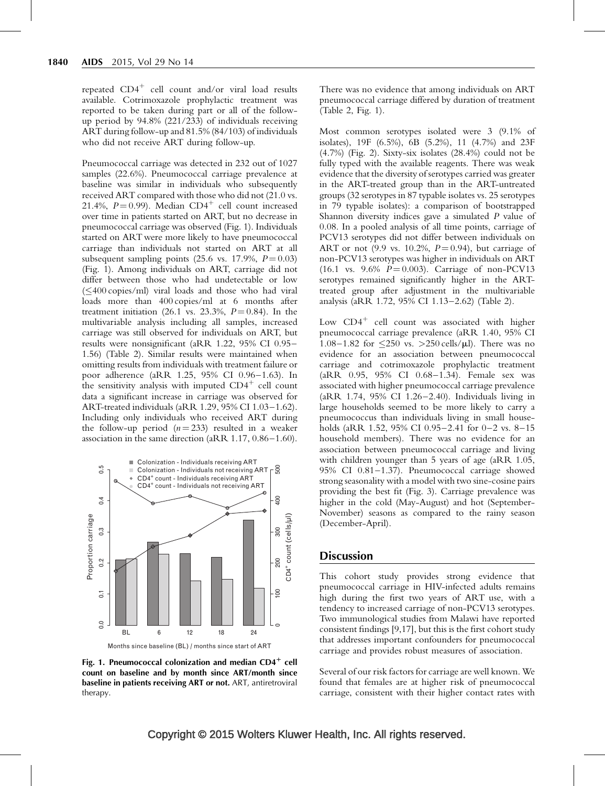repeated  $CD4^+$  cell count and/or viral load results available. Cotrimoxazole prophylactic treatment was reported to be taken during part or all of the followup period by 94.8% (221/233) of individuals receiving ART during follow-up and 81.5% (84/103) of individuals who did not receive ART during follow-up.

Pneumococcal carriage was detected in 232 out of 1027 samples (22.6%). Pneumococcal carriage prevalence at baseline was similar in individuals who subsequently received ART compared with those who did not (21.0 vs. 21.4%,  $P = 0.99$ ). Median CD4<sup>+</sup> cell count increased over time in patients started on ART, but no decrease in pneumococcal carriage was observed (Fig. 1). Individuals started on ART were more likely to have pneumococcal carriage than individuals not started on ART at all subsequent sampling points  $(25.6 \text{ vs. } 17.9\%, P = 0.03)$ (Fig. 1). Among individuals on ART, carriage did not differ between those who had undetectable or low  $(\leq$  400 copies/ml) viral loads and those who had viral loads more than 400 copies/ml at 6 months after treatment initiation (26.1 vs. 23.3%,  $P = 0.84$ ). In the multivariable analysis including all samples, increased carriage was still observed for individuals on ART, but results were nonsignificant (aRR 1.22, 95% CI 0.95– 1.56) ([Table 2\)](#page-4-0). Similar results were maintained when omitting results from individuals with treatment failure or poor adherence (aRR 1.25, 95% CI 0.96–1.63). In the sensitivity analysis with imputed  $CD4^+$  cell count data a significant increase in carriage was observed for ART-treated individuals (aRR 1.29, 95% CI 1.03–1.62). Including only individuals who received ART during the follow-up period  $(n=233)$  resulted in a weaker association in the same direction (aRR 1.17, 0.86–1.60).



Fig. 1. Pneumococcal colonization and median CD4<sup>+</sup> cell count on baseline and by month since ART/month since baseline in patients receiving ART or not. ART, antiretroviral therapy.

There was no evidence that among individuals on ART pneumococcal carriage differed by duration of treatment ([Table 2,](#page-4-0) Fig. 1).

Most common serotypes isolated were 3 (9.1% of isolates), 19F (6.5%), 6B (5.2%), 11 (4.7%) and 23F (4.7%) ([Fig. 2\)](#page-5-0). Sixty-six isolates (28.4%) could not be fully typed with the available reagents. There was weak evidence that the diversity of serotypes carried was greater in the ART-treated group than in the ART-untreated groups (32 serotypes in 87 typable isolates vs. 25 serotypes in 79 typable isolates): a comparison of bootstrapped Shannon diversity indices gave a simulated P value of 0.08. In a pooled analysis of all time points, carriage of PCV13 serotypes did not differ between individuals on ART or not (9.9 vs. 10.2%,  $P = 0.94$ ), but carriage of non-PCV13 serotypes was higher in individuals on ART  $(16.1 \text{ vs. } 9.6\% \text{ } P = 0.003)$ . Carriage of non-PCV13 serotypes remained significantly higher in the ARTtreated group after adjustment in the multivariable analysis (aRR 1.72, 95% CI 1.13–2.62) ([Table 2\)](#page-4-0).

Low  $CD4^+$  cell count was associated with higher pneumococcal carriage prevalence (aRR 1.40, 95% CI 1.08–1.82 for  $\leq$ 250 vs. >250 cells/ $\mu$ l). There was no evidence for an association between pneumococcal carriage and cotrimoxazole prophylactic treatment (aRR 0.95, 95% CI 0.68–1.34). Female sex was associated with higher pneumococcal carriage prevalence (aRR 1.74, 95% CI 1.26–2.40). Individuals living in large households seemed to be more likely to carry a pneumococcus than individuals living in small households (aRR 1.52, 95% CI 0.95–2.41 for 0–2 vs. 8–15 household members). There was no evidence for an association between pneumococcal carriage and living with children younger than 5 years of age (aRR 1.05, 95% CI 0.81–1.37). Pneumococcal carriage showed strong seasonality with a model with two sine-cosine pairs providing the best fit [\(Fig. 3](#page-5-0)). Carriage prevalence was higher in the cold (May-August) and hot (September-November) seasons as compared to the rainy season (December-April).

# **Discussion**

This cohort study provides strong evidence that pneumococcal carriage in HIV-infected adults remains high during the first two years of ART use, with a tendency to increased carriage of non-PCV13 serotypes. Two immunological studies from Malawi have reported consistent findings [\[9,17\]](#page-7-0), but this is the first cohort study that addresses important confounders for pneumococcal carriage and provides robust measures of association.

Several of our risk factors for carriage are well known. We found that females are at higher risk of pneumococcal carriage, consistent with their higher contact rates with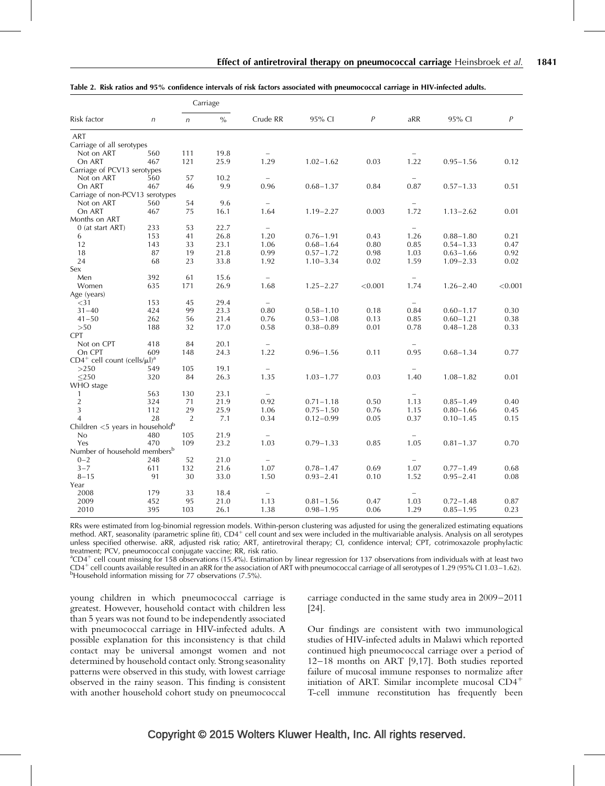<span id="page-4-0"></span>

| Table 2. Risk ratios and 95% confidence intervals of risk factors associated with pneumococcal carriage in HIV-infected adults. |  |
|---------------------------------------------------------------------------------------------------------------------------------|--|
|---------------------------------------------------------------------------------------------------------------------------------|--|

| Risk factor                                      |            | Carriage       |      |                          |               |         |                          |               |                |
|--------------------------------------------------|------------|----------------|------|--------------------------|---------------|---------|--------------------------|---------------|----------------|
|                                                  | $\sqrt{n}$ | $\sqrt{n}$     | $\%$ | Crude RR                 | 95% CI        | P       | aRR                      | 95% CI        | $\overline{P}$ |
| <b>ART</b>                                       |            |                |      |                          |               |         |                          |               |                |
| Carriage of all serotypes                        |            |                |      |                          |               |         |                          |               |                |
| Not on ART                                       | 560        | 111            | 19.8 |                          |               |         |                          |               |                |
| On ART                                           | 467        | 121            | 25.9 | 1.29                     | $1.02 - 1.62$ | 0.03    | 1.22                     | $0.95 - 1.56$ | 0.12           |
| Carriage of PCV13 serotypes                      |            |                |      |                          |               |         |                          |               |                |
| Not on ART                                       | 560        | 57             | 10.2 |                          |               |         |                          |               |                |
| On ART                                           | 467        | 46             | 9.9  | 0.96                     | $0.68 - 1.37$ | 0.84    | 0.87                     | $0.57 - 1.33$ | 0.51           |
| Carriage of non-PCV13 serotypes                  |            |                |      |                          |               |         |                          |               |                |
| Not on ART                                       | 560        | 54             | 9.6  | $\overline{\phantom{0}}$ |               |         | $\overline{\phantom{a}}$ |               |                |
| On ART                                           | 467        | 75             | 16.1 | 1.64                     | $1.19 - 2.27$ | 0.003   | 1.72                     | $1.13 - 2.62$ | 0.01           |
| Months on ART                                    |            |                |      |                          |               |         |                          |               |                |
| 0 (at start ART)                                 | 233        | 53             | 22.7 | $\overline{\phantom{0}}$ |               |         |                          |               |                |
| 6                                                | 153        | 41             | 26.8 | 1.20                     | $0.76 - 1.91$ | 0.43    | 1.26                     | $0.88 - 1.80$ | 0.21           |
| 12                                               | 143        | 33             | 23.1 | 1.06                     | $0.68 - 1.64$ | 0.80    | 0.85                     | $0.54 - 1.33$ | 0.47           |
| 18                                               | 87         | 19             | 21.8 | 0.99                     | $0.57 - 1.72$ | 0.98    | 1.03                     | $0.63 - 1.66$ | 0.92           |
| 24                                               | 68         | 23             | 33.8 | 1.92                     | $1.10 - 3.34$ | 0.02    | 1.59                     | $1.09 - 2.33$ | 0.02           |
| Sex                                              |            |                |      |                          |               |         |                          |               |                |
| Men                                              | 392        | 61             | 15.6 | $\overline{\phantom{0}}$ |               |         | $-$                      |               |                |
| Women                                            | 635        | 171            | 26.9 | 1.68                     | $1.25 - 2.27$ | < 0.001 | 1.74                     | $1.26 - 2.40$ | < 0.001        |
| Age (years)                                      |            |                |      |                          |               |         |                          |               |                |
| $<$ 31                                           | 153        | 45             | 29.4 | $\overline{\phantom{0}}$ |               |         | $\overline{\phantom{0}}$ |               |                |
| $31 - 40$                                        | 424        | 99             | 23.3 | 0.80                     | $0.58 - 1.10$ | 0.18    | 0.84                     | $0.60 - 1.17$ | 0.30           |
| $41 - 50$                                        | 262        | 56             | 21.4 | 0.76                     | $0.53 - 1.08$ | 0.13    | 0.85                     | $0.60 - 1.21$ | 0.38           |
| >50                                              | 188        | 32             | 17.0 | 0.58                     | $0.38 - 0.89$ | 0.01    | 0.78                     | $0.48 - 1.28$ | 0.33           |
| <b>CPT</b>                                       |            |                |      |                          |               |         |                          |               |                |
| Not on CPT                                       | 418        | 84             | 20.1 | $\overline{\phantom{0}}$ |               |         |                          |               |                |
| On CPT                                           | 609        | 148            | 24.3 | 1.22                     | $0.96 - 1.56$ | 0.11    | 0.95                     | $0.68 - 1.34$ | 0.77           |
| $CD4^+$ cell count (cells/ $\mu$ l) <sup>a</sup> |            |                |      |                          |               |         |                          |               |                |
| >250                                             | 549        | 105            | 19.1 | $\qquad \qquad -$        |               |         | $\overline{\phantom{m}}$ |               |                |
| $\leq$ 250                                       | 320        | 84             | 26.3 | 1.35                     | $1.03 - 1.77$ | 0.03    | 1.40                     | $1.08 - 1.82$ | 0.01           |
| WHO stage                                        |            |                |      |                          |               |         |                          |               |                |
| 1                                                | 563        | 130            | 23.1 |                          |               |         |                          |               |                |
| $\sqrt{2}$                                       | 324        | 71             | 21.9 | 0.92                     | $0.71 - 1.18$ | 0.50    | 1.13                     | $0.85 - 1.49$ | 0.40           |
| 3                                                | 112        | 29             | 25.9 | 1.06                     | $0.75 - 1.50$ | 0.76    | 1.15                     | $0.80 - 1.66$ | 0.45           |
| $\Delta$                                         | 28         | $\overline{2}$ | 7.1  | 0.34                     | $0.12 - 0.99$ | 0.05    | 0.37                     | $0.10 - 1.45$ | 0.15           |
| Children $<$ 5 years in household $b$            |            |                |      |                          |               |         |                          |               |                |
| No                                               | 480        | 105            | 21.9 | $\qquad \qquad -$        |               |         | $\overline{\phantom{m}}$ |               |                |
| Yes                                              | 470        | 109            | 23.2 | 1.03                     | $0.79 - 1.33$ | 0.85    | 1.05                     | $0.81 - 1.37$ | 0.70           |
| Number of household members <sup>b</sup>         |            |                |      |                          |               |         |                          |               |                |
| $0 - 2$                                          | 248        | 52             | 21.0 | $\overline{\phantom{0}}$ |               |         |                          |               |                |
| $3 - 7$                                          | 611        | 132            | 21.6 | 1.07                     | $0.78 - 1.47$ | 0.69    | 1.07                     | $0.77 - 1.49$ | 0.68           |
| $8 - 15$                                         | 91         | 30             | 33.0 | 1.50                     | $0.93 - 2.41$ | 0.10    | 1.52                     | $0.95 - 2.41$ | 0.08           |
| Year                                             |            |                |      |                          |               |         |                          |               |                |
| 2008                                             | 179        | 33             | 18.4 | $\overline{\phantom{0}}$ |               |         |                          |               |                |
| 2009                                             | 452        | 95             | 21.0 | 1.13                     | $0.81 - 1.56$ | 0.47    | 1.03                     | $0.72 - 1.48$ | 0.87           |
| 2010                                             | 395        | 103            | 26.1 | 1.38                     | $0.98 - 1.95$ | 0.06    | 1.29                     | $0.85 - 1.95$ | 0.23           |

RRs were estimated from log-binomial regression models. Within-person clustering was adjusted for using the generalized estimating equations method. ART, seasonality (parametric spline fit),  $CD4^+$  cell count and sex were included in the multivariable analysis. Analysis on all serotypes unless specified otherwise. aRR, adjusted risk ratio; ART, antiretroviral therapy; CI, confidence interval; CPT, cotrimoxazole prophylactic treatment; PCV, pneumococcal conjugate vaccine; RR, risk ratio.

 $^{\text{a}}$ CD4<sup>+</sup> cell count missing for 158 observations (15.4%). Estimation by linear regression for 137 observations from individuals with at least two CD4<sup>+</sup> cell counts available resulted in an aRR for the association of ART with pneumococcal carriage of all serotypes of 1.29 (95% CI 1.03–1.62).<br><sup>b</sup>Household information missing for 77 observations (7.5%).

young children in which pneumococcal carriage is greatest. However, household contact with children less than 5 years was not found to be independently associated with pneumococcal carriage in HIV-infected adults. A possible explanation for this inconsistency is that child contact may be universal amongst women and not determined by household contact only. Strong seasonality patterns were observed in this study, with lowest carriage observed in the rainy season. This finding is consistent with another household cohort study on pneumococcal

carriage conducted in the same study area in 2009–2011 [\[24\]](#page-7-0).

Our findings are consistent with two immunological studies of HIV-infected adults in Malawi which reported continued high pneumococcal carriage over a period of 12–18 months on ART [\[9,17\]](#page-7-0). Both studies reported failure of mucosal immune responses to normalize after initiation of ART. Similar incomplete mucosal  $CD4<sup>+</sup>$ T-cell immune reconstitution has frequently been

# Copyright © 2015 Wolters Kluwer Health, Inc. All rights reserved.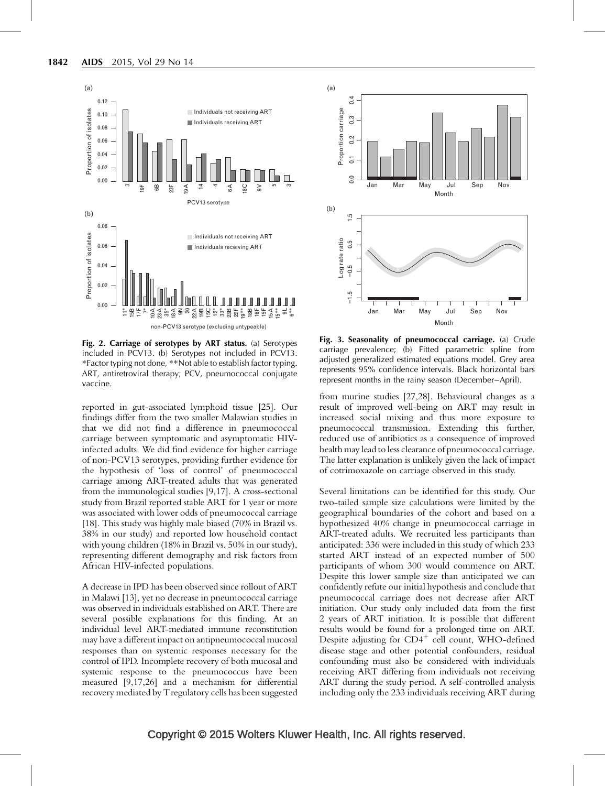<span id="page-5-0"></span>

Fig. 2. Carriage of serotypes by ART status. (a) Serotypes included in PCV13. (b) Serotypes not included in PCV13. \*Factor typing not done, \*\*Not able to establish factor typing. ART, antiretroviral therapy; PCV, pneumococcal conjugate vaccine.

reported in gut-associated lymphoid tissue [\[25\]](#page-7-0). Our findings differ from the two smaller Malawian studies in that we did not find a difference in pneumococcal carriage between symptomatic and asymptomatic HIVinfected adults. We did find evidence for higher carriage of non-PCV13 serotypes, providing further evidence for the hypothesis of 'loss of control' of pneumococcal carriage among ART-treated adults that was generated from the immunological studies [\[9,17\]](#page-7-0). A cross-sectional study from Brazil reported stable ART for 1 year or more was associated with lower odds of pneumococcal carriage [\[18\]](#page-7-0). This study was highly male biased (70% in Brazil vs. 38% in our study) and reported low household contact with young children (18% in Brazil vs. 50% in our study), representing different demography and risk factors from African HIV-infected populations.

A decrease in IPD has been observed since rollout of ART in Malawi [\[13\]](#page-7-0), yet no decrease in pneumococcal carriage was observed in individuals established on ART. There are several possible explanations for this finding. At an individual level ART-mediated immune reconstitution may have a different impact on antipneumococcal mucosal responses than on systemic responses necessary for the control of IPD. Incomplete recovery of both mucosal and systemic response to the pneumococcus have been measured [\[9,17,26\]](#page-7-0) and a mechanism for differential recovery mediated by Tregulatory cells has been suggested



Fig. 3. Seasonality of pneumococcal carriage. (a) Crude carriage prevalence; (b) Fitted parametric spline from adjusted generalized estimated equations model. Grey area represents 95% confidence intervals. Black horizontal bars represent months in the rainy season (December–April).

from murine studies [\[27,28\].](#page-7-0) Behavioural changes as a result of improved well-being on ART may result in increased social mixing and thus more exposure to pneumococcal transmission. Extending this further, reduced use of antibiotics as a consequence of improved health may lead to less clearance of pneumococcal carriage. The latter explanation is unlikely given the lack of impact of cotrimoxazole on carriage observed in this study.

Several limitations can be identified for this study. Our two-tailed sample size calculations were limited by the geographical boundaries of the cohort and based on a hypothesized 40% change in pneumococcal carriage in ART-treated adults. We recruited less participants than anticipated: 336 were included in this study of which 233 started ART instead of an expected number of 500 participants of whom 300 would commence on ART. Despite this lower sample size than anticipated we can confidently refute our initial hypothesis and conclude that pneumococcal carriage does not decrease after ART initiation. Our study only included data from the first 2 years of ART initiation. It is possible that different results would be found for a prolonged time on ART. Despite adjusting for  $CD4^+$  cell count, WHO-defined disease stage and other potential confounders, residual confounding must also be considered with individuals receiving ART differing from individuals not receiving ART during the study period. A self-controlled analysis including only the 233 individuals receiving ART during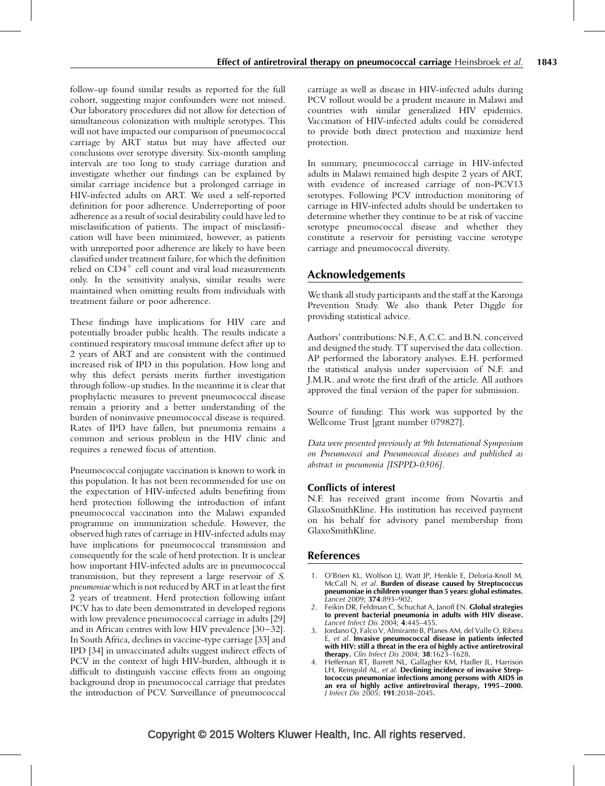<span id="page-6-0"></span>follow-up found similar results as reported for the full cohort, suggesting major confounders were not missed. Our laboratory procedures did not allow for detection of simultaneous colonization with multiple serotypes. This will not have impacted our comparison of pneumococcal carriage by ART status but may have affected our conclusions over serotype diversity. Six-month sampling intervals are too long to study carriage duration and investigate whether our findings can be explained by similar carriage incidence but a prolonged carriage in HIV-infected adults on ART. We used a self-reported definition for poor adherence. Underreporting of poor adherence as a result of social desirability could have led to misclassification of patients. The impact of misclassification will have been minimized, however, as patients with unreported poor adherence are likely to have been classified under treatment failure, for which the definition relied on  $CD4^+$  cell count and viral load measurements only. In the sensitivity analysis, similar results were maintained when omitting results from individuals with treatment failure or poor adherence.

These findings have implications for HIV care and potentially broader public health. The results indicate a continued respiratory mucosal immune defect after up to 2 years of ART and are consistent with the continued increased risk of IPD in this population. How long and why this defect persists merits further investigation through follow-up studies. In the meantime it is clear that prophylactic measures to prevent pneumococcal disease remain a priority and a better understanding of the burden of noninvasive pneumococcal disease is required. Rates of IPD have fallen, but pneumonia remains a common and serious problem in the HIV clinic and requires a renewed focus of attention.

Pneumococcal conjugate vaccination is known to work in this population. It has not been recommended for use on the expectation of HIV-infected adults benefiting from herd protection following the introduction of infant pneumococcal vaccination into the Malawi expanded programme on immunization schedule. However, the observed high rates of carriage in HIV-infected adults may have implications for pneumococcal transmission and consequently for the scale of herd protection. It is unclear how important HIV-infected adults are in pneumococcal transmission, but they represent a large reservoir of S. pneumoniae which is not reduced by ART in at least the first 2 years of treatment. Herd protection following infant PCV has to date been demonstrated in developed regions with low prevalence pneumococcal carriage in adults [\[29\]](#page-7-0) and in African centres with low HIV prevalence [\[30–32\]](#page-7-0). In South Africa, declines in vaccine-type carriage [\[33\]](#page-7-0) and IPD [\[34\]](#page-7-0) in unvaccinated adults suggest indirect effects of PCV in the context of high HIV-burden, although it is difficult to distinguish vaccine effects from an ongoing background drop in pneumococcal carriage that predates the introduction of PCV. Surveillance of pneumococcal

carriage as well as disease in HIV-infected adults during PCV rollout would be a prudent measure in Malawi and countries with similar generalized HIV epidemics. Vaccination of HIV-infected adults could be considered to provide both direct protection and maximize herd protection.

In summary, pneumococcal carriage in HIV-infected adults in Malawi remained high despite 2 years of ART, with evidence of increased carriage of non-PCV13 serotypes. Following PCV introduction monitoring of carriage in HIV-infected adults should be undertaken to determine whether they continue to be at risk of vaccine serotype pneumococcal disease and whether they constitute a reservoir for persisting vaccine serotype carriage and pneumococcal diversity.

# Acknowledgements

We thank all study participants and the staff at the Karonga Prevention Study. We also thank Peter Diggle for providing statistical advice.

Authors' contributions: N.F., A.C.C. and B.N. conceived and designed the study. TT supervised the data collection. AP performed the laboratory analyses. E.H. performed the statistical analysis under supervision of N.F. and J.M.R. and wrote the first draft of the article. All authors approved the final version of the paper for submission.

Source of funding: This work was supported by the Wellcome Trust [grant number 079827].

Data were presented previously at 9th International Symposium on Pneumococci and Pneumococcal diseases and published as abstract in pneumonia [ISPPD-0306].

# Conflicts of interest

N.F. has received grant income from Novartis and GlaxoSmithKline. His institution has received payment on his behalf for advisory panel membership from GlaxoSmithKline.

# References

- 1. O'Brien KL, Wolfson LJ, Watt JP, Henkle E, Deloria-Knoll M, McCall N, et al. Burden of disease caused by Streptococcus pneumoniae in children younger than 5 years: global estimates. Lancet 2009; 374:893–902.
- 2. Feikin DR, Feldman C, Schuchat A, Janoff EN. Global strategies to prevent bacterial pneumonia in adults with HIV disease. Lancet Infect Dis 2004; 4:445–455.
- 3. Jordano Q, Falco V, Almirante B, Planes AM, del Valle O, Ribera E, et al. Invasive pneumococcal disease in patients infected with HIV: still a threat in the era of highly active antiretroviral therapy. Clin Infect Dis 2004; 38:1623-1628.
- 4. Heffernan RT, Barrett NL, Gallagher KM, Hadler JL, Harrison LH, Reingold AL, et al. Declining incidence of invasive Streptococcus pneumoniae infections among persons with AIDS in an era of highly active antiretroviral therapy, 1995–2000. J Infect Dis 2005; 191:2038–2045.